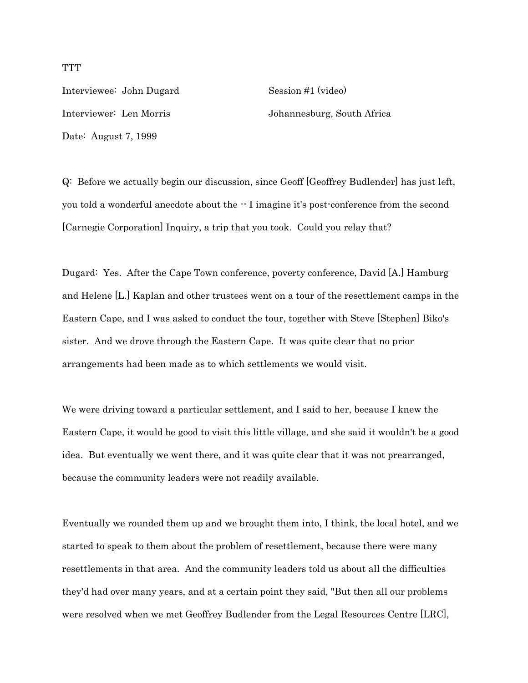Interviewee: John Dugard Session #1 (video) Date: August 7, 1999

Interviewer: Len Morris Johannesburg, South Africa

Q: Before we actually begin our discussion, since Geoff [Geoffrey Budlender] has just left, you told a wonderful anecdote about the -- I imagine it's post-conference from the second [Carnegie Corporation] Inquiry, a trip that you took. Could you relay that?

Dugard: Yes. After the Cape Town conference, poverty conference, David [A.] Hamburg and Helene [L.] Kaplan and other trustees went on a tour of the resettlement camps in the Eastern Cape, and I was asked to conduct the tour, together with Steve [Stephen] Biko's sister. And we drove through the Eastern Cape. It was quite clear that no prior arrangements had been made as to which settlements we would visit.

We were driving toward a particular settlement, and I said to her, because I knew the Eastern Cape, it would be good to visit this little village, and she said it wouldn't be a good idea. But eventually we went there, and it was quite clear that it was not prearranged, because the community leaders were not readily available.

Eventually we rounded them up and we brought them into, I think, the local hotel, and we started to speak to them about the problem of resettlement, because there were many resettlements in that area. And the community leaders told us about all the difficulties they'd had over many years, and at a certain point they said, "But then all our problems were resolved when we met Geoffrey Budlender from the Legal Resources Centre [LRC],

**TTT**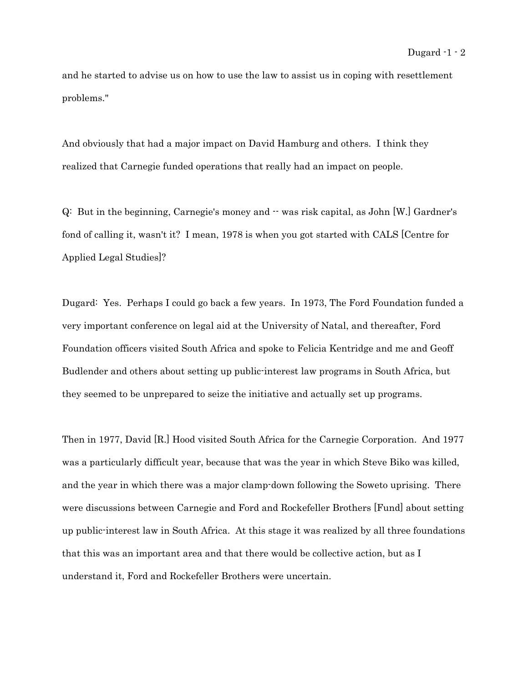and he started to advise us on how to use the law to assist us in coping with resettlement problems."

And obviously that had a major impact on David Hamburg and others. I think they realized that Carnegie funded operations that really had an impact on people.

Q: But in the beginning, Carnegie's money and -- was risk capital, as John [W.] Gardner's fond of calling it, wasn't it? I mean, 1978 is when you got started with CALS [Centre for Applied Legal Studies]?

Dugard: Yes. Perhaps I could go back a few years. In 1973, The Ford Foundation funded a very important conference on legal aid at the University of Natal, and thereafter, Ford Foundation officers visited South Africa and spoke to Felicia Kentridge and me and Geoff Budlender and others about setting up public-interest law programs in South Africa, but they seemed to be unprepared to seize the initiative and actually set up programs.

Then in 1977, David [R.] Hood visited South Africa for the Carnegie Corporation. And 1977 was a particularly difficult year, because that was the year in which Steve Biko was killed, and the year in which there was a major clamp-down following the Soweto uprising. There were discussions between Carnegie and Ford and Rockefeller Brothers [Fund] about setting up public-interest law in South Africa. At this stage it was realized by all three foundations that this was an important area and that there would be collective action, but as I understand it, Ford and Rockefeller Brothers were uncertain.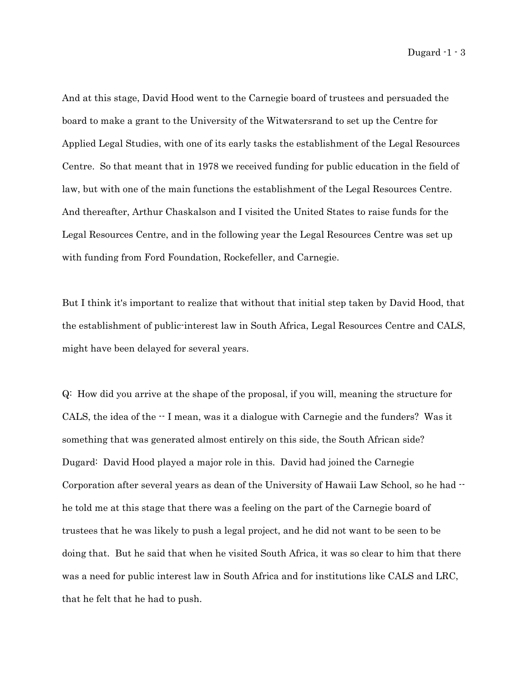And at this stage, David Hood went to the Carnegie board of trustees and persuaded the board to make a grant to the University of the Witwatersrand to set up the Centre for Applied Legal Studies, with one of its early tasks the establishment of the Legal Resources Centre. So that meant that in 1978 we received funding for public education in the field of law, but with one of the main functions the establishment of the Legal Resources Centre. And thereafter, Arthur Chaskalson and I visited the United States to raise funds for the Legal Resources Centre, and in the following year the Legal Resources Centre was set up with funding from Ford Foundation, Rockefeller, and Carnegie.

But I think it's important to realize that without that initial step taken by David Hood, that the establishment of public-interest law in South Africa, Legal Resources Centre and CALS, might have been delayed for several years.

Q: How did you arrive at the shape of the proposal, if you will, meaning the structure for CALS, the idea of the -- I mean, was it a dialogue with Carnegie and the funders? Was it something that was generated almost entirely on this side, the South African side? Dugard: David Hood played a major role in this. David had joined the Carnegie Corporation after several years as dean of the University of Hawaii Law School, so he had  $$ he told me at this stage that there was a feeling on the part of the Carnegie board of trustees that he was likely to push a legal project, and he did not want to be seen to be doing that. But he said that when he visited South Africa, it was so clear to him that there was a need for public interest law in South Africa and for institutions like CALS and LRC, that he felt that he had to push.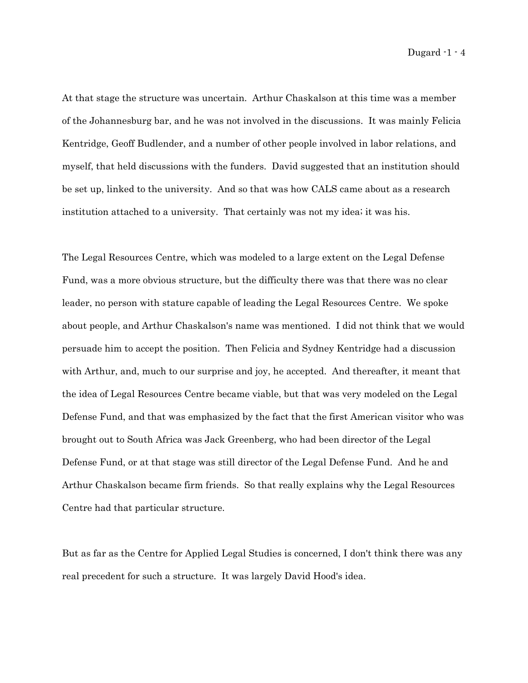At that stage the structure was uncertain. Arthur Chaskalson at this time was a member of the Johannesburg bar, and he was not involved in the discussions. It was mainly Felicia Kentridge, Geoff Budlender, and a number of other people involved in labor relations, and myself, that held discussions with the funders. David suggested that an institution should be set up, linked to the university. And so that was how CALS came about as a research institution attached to a university. That certainly was not my idea; it was his.

The Legal Resources Centre, which was modeled to a large extent on the Legal Defense Fund, was a more obvious structure, but the difficulty there was that there was no clear leader, no person with stature capable of leading the Legal Resources Centre. We spoke about people, and Arthur Chaskalson's name was mentioned. I did not think that we would persuade him to accept the position. Then Felicia and Sydney Kentridge had a discussion with Arthur, and, much to our surprise and joy, he accepted. And thereafter, it meant that the idea of Legal Resources Centre became viable, but that was very modeled on the Legal Defense Fund, and that was emphasized by the fact that the first American visitor who was brought out to South Africa was Jack Greenberg, who had been director of the Legal Defense Fund, or at that stage was still director of the Legal Defense Fund. And he and Arthur Chaskalson became firm friends. So that really explains why the Legal Resources Centre had that particular structure.

But as far as the Centre for Applied Legal Studies is concerned, I don't think there was any real precedent for such a structure. It was largely David Hood's idea.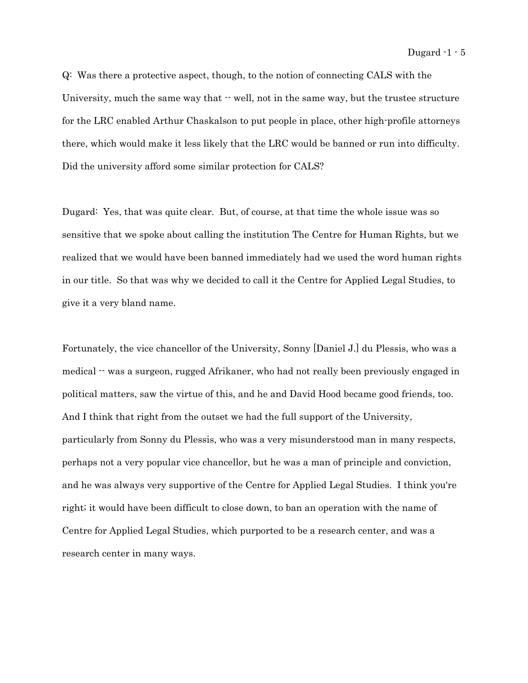Q: Was there a protective aspect, though, to the notion of connecting CALS with the University, much the same way that  $\cdot$  well, not in the same way, but the trustee structure for the LRC enabled Arthur Chaskalson to put people in place, other high-profile attorneys there, which would make it less likely that the LRC would be banned or run into difficulty. Did the university afford some similar protection for CALS?

Dugard: Yes, that was quite clear. But, of course, at that time the whole issue was so sensitive that we spoke about calling the institution The Centre for Human Rights, but we realized that we would have been banned immediately had we used the word human rights in our title. So that was why we decided to call it the Centre for Applied Legal Studies, to give it a very bland name.

Fortunately, the vice chancellor of the University, Sonny [Daniel J.] du Plessis, who was a medical -- was a surgeon, rugged Afrikaner, who had not really been previously engaged in political matters, saw the virtue of this, and he and David Hood became good friends, too. And I think that right from the outset we had the full support of the University, particularly from Sonny du Plessis, who was a very misunderstood man in many respects, perhaps not a very popular vice chancellor, but he was a man of principle and conviction, and he was always very supportive of the Centre for Applied Legal Studies. I think you're right; it would have been difficult to close down, to ban an operation with the name of Centre for Applied Legal Studies, which purported to be a research center, and was a research center in many ways.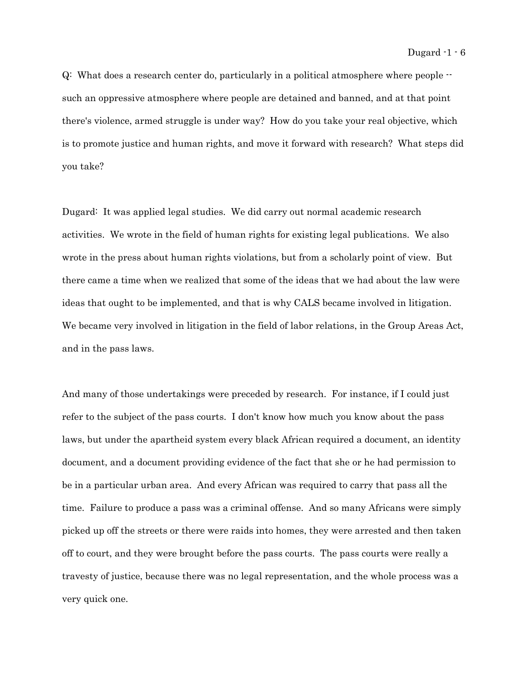Q: What does a research center do, particularly in a political atmosphere where people - such an oppressive atmosphere where people are detained and banned, and at that point there's violence, armed struggle is under way? How do you take your real objective, which is to promote justice and human rights, and move it forward with research? What steps did you take?

Dugard: It was applied legal studies. We did carry out normal academic research activities. We wrote in the field of human rights for existing legal publications. We also wrote in the press about human rights violations, but from a scholarly point of view. But there came a time when we realized that some of the ideas that we had about the law were ideas that ought to be implemented, and that is why CALS became involved in litigation. We became very involved in litigation in the field of labor relations, in the Group Areas Act, and in the pass laws.

And many of those undertakings were preceded by research. For instance, if I could just refer to the subject of the pass courts. I don't know how much you know about the pass laws, but under the apartheid system every black African required a document, an identity document, and a document providing evidence of the fact that she or he had permission to be in a particular urban area. And every African was required to carry that pass all the time. Failure to produce a pass was a criminal offense. And so many Africans were simply picked up off the streets or there were raids into homes, they were arrested and then taken off to court, and they were brought before the pass courts. The pass courts were really a travesty of justice, because there was no legal representation, and the whole process was a very quick one.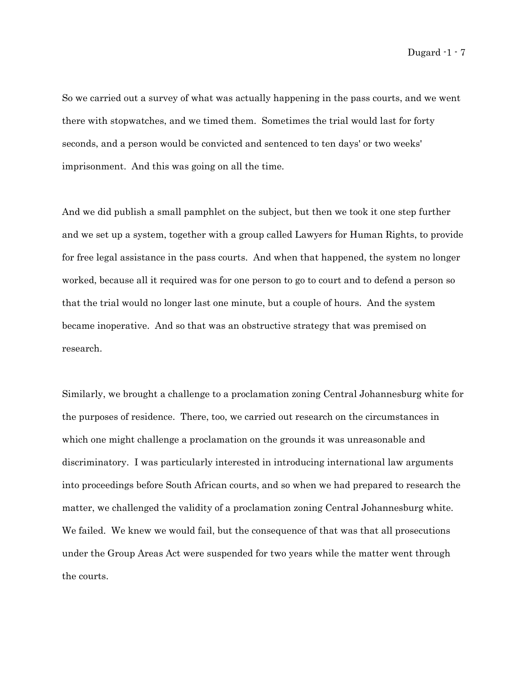So we carried out a survey of what was actually happening in the pass courts, and we went there with stopwatches, and we timed them. Sometimes the trial would last for forty seconds, and a person would be convicted and sentenced to ten days' or two weeks' imprisonment. And this was going on all the time.

And we did publish a small pamphlet on the subject, but then we took it one step further and we set up a system, together with a group called Lawyers for Human Rights, to provide for free legal assistance in the pass courts. And when that happened, the system no longer worked, because all it required was for one person to go to court and to defend a person so that the trial would no longer last one minute, but a couple of hours. And the system became inoperative. And so that was an obstructive strategy that was premised on research.

Similarly, we brought a challenge to a proclamation zoning Central Johannesburg white for the purposes of residence. There, too, we carried out research on the circumstances in which one might challenge a proclamation on the grounds it was unreasonable and discriminatory. I was particularly interested in introducing international law arguments into proceedings before South African courts, and so when we had prepared to research the matter, we challenged the validity of a proclamation zoning Central Johannesburg white. We failed. We knew we would fail, but the consequence of that was that all prosecutions under the Group Areas Act were suspended for two years while the matter went through the courts.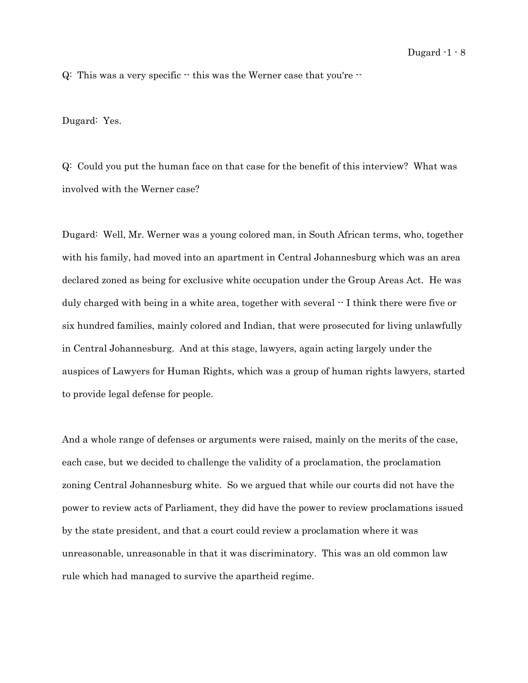Q: This was a very specific  $\cdot$  this was the Werner case that you're  $\cdot$ 

Dugard: Yes.

Q: Could you put the human face on that case for the benefit of this interview? What was involved with the Werner case?

Dugard: Well, Mr. Werner was a young colored man, in South African terms, who, together with his family, had moved into an apartment in Central Johannesburg which was an area declared zoned as being for exclusive white occupation under the Group Areas Act. He was duly charged with being in a white area, together with several  $\cdot$  I think there were five or six hundred families, mainly colored and Indian, that were prosecuted for living unlawfully in Central Johannesburg. And at this stage, lawyers, again acting largely under the auspices of Lawyers for Human Rights, which was a group of human rights lawyers, started to provide legal defense for people.

And a whole range of defenses or arguments were raised, mainly on the merits of the case, each case, but we decided to challenge the validity of a proclamation, the proclamation zoning Central Johannesburg white. So we argued that while our courts did not have the power to review acts of Parliament, they did have the power to review proclamations issued by the state president, and that a court could review a proclamation where it was unreasonable, unreasonable in that it was discriminatory. This was an old common law rule which had managed to survive the apartheid regime.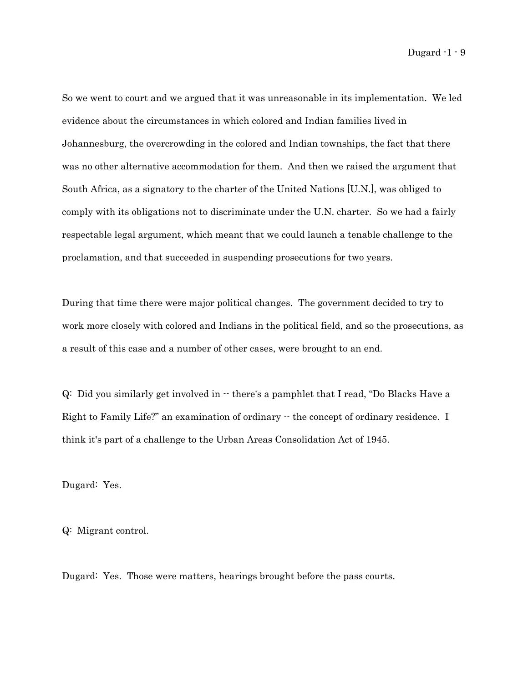So we went to court and we argued that it was unreasonable in its implementation. We led evidence about the circumstances in which colored and Indian families lived in Johannesburg, the overcrowding in the colored and Indian townships, the fact that there was no other alternative accommodation for them. And then we raised the argument that South Africa, as a signatory to the charter of the United Nations [U.N.], was obliged to comply with its obligations not to discriminate under the U.N. charter. So we had a fairly respectable legal argument, which meant that we could launch a tenable challenge to the proclamation, and that succeeded in suspending prosecutions for two years.

During that time there were major political changes. The government decided to try to work more closely with colored and Indians in the political field, and so the prosecutions, as a result of this case and a number of other cases, were brought to an end.

 $Q:$  Did you similarly get involved in  $\cdot\cdot$  there's a pamphlet that I read, "Do Blacks Have a Right to Family Life?" an examination of ordinary  $\cdot\cdot$  the concept of ordinary residence. I think it's part of a challenge to the Urban Areas Consolidation Act of 1945.

Dugard: Yes.

Q: Migrant control.

Dugard: Yes. Those were matters, hearings brought before the pass courts.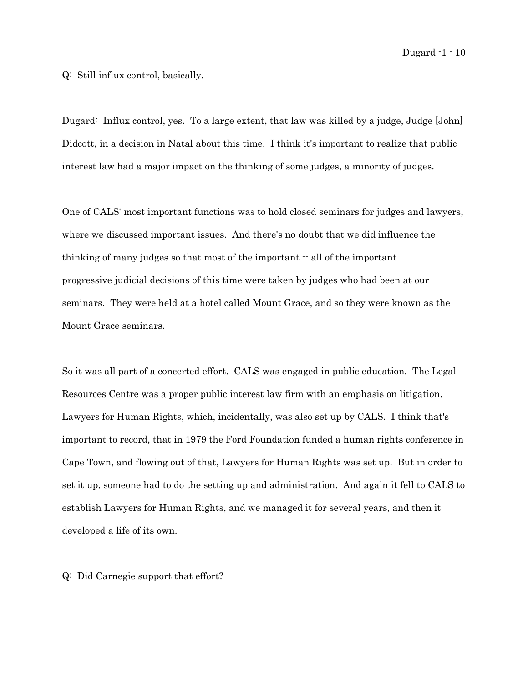Q: Still influx control, basically.

Dugard: Influx control, yes. To a large extent, that law was killed by a judge, Judge [John] Didcott, in a decision in Natal about this time. I think it's important to realize that public interest law had a major impact on the thinking of some judges, a minority of judges.

One of CALS' most important functions was to hold closed seminars for judges and lawyers, where we discussed important issues. And there's no doubt that we did influence the thinking of many judges so that most of the important  $\cdot$  all of the important progressive judicial decisions of this time were taken by judges who had been at our seminars. They were held at a hotel called Mount Grace, and so they were known as the Mount Grace seminars.

So it was all part of a concerted effort. CALS was engaged in public education. The Legal Resources Centre was a proper public interest law firm with an emphasis on litigation. Lawyers for Human Rights, which, incidentally, was also set up by CALS. I think that's important to record, that in 1979 the Ford Foundation funded a human rights conference in Cape Town, and flowing out of that, Lawyers for Human Rights was set up. But in order to set it up, someone had to do the setting up and administration. And again it fell to CALS to establish Lawyers for Human Rights, and we managed it for several years, and then it developed a life of its own.

Q: Did Carnegie support that effort?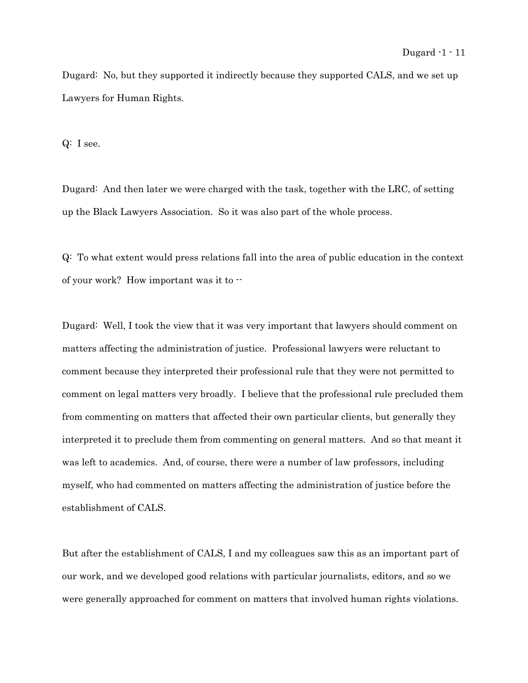Dugard: No, but they supported it indirectly because they supported CALS, and we set up Lawyers for Human Rights.

Q: I see.

Dugard: And then later we were charged with the task, together with the LRC, of setting up the Black Lawyers Association. So it was also part of the whole process.

Q: To what extent would press relations fall into the area of public education in the context of your work? How important was it to --

Dugard: Well, I took the view that it was very important that lawyers should comment on matters affecting the administration of justice. Professional lawyers were reluctant to comment because they interpreted their professional rule that they were not permitted to comment on legal matters very broadly. I believe that the professional rule precluded them from commenting on matters that affected their own particular clients, but generally they interpreted it to preclude them from commenting on general matters. And so that meant it was left to academics. And, of course, there were a number of law professors, including myself, who had commented on matters affecting the administration of justice before the establishment of CALS.

But after the establishment of CALS, I and my colleagues saw this as an important part of our work, and we developed good relations with particular journalists, editors, and so we were generally approached for comment on matters that involved human rights violations.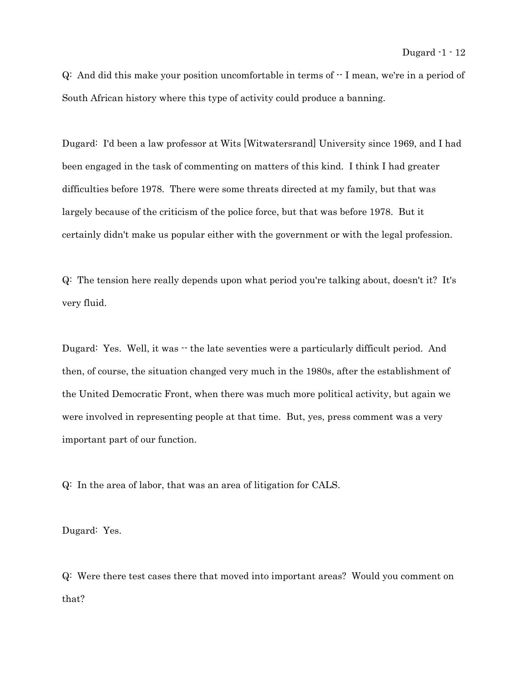$Q$ : And did this make your position uncomfortable in terms of  $-I$  mean, we're in a period of South African history where this type of activity could produce a banning.

Dugard: I'd been a law professor at Wits [Witwatersrand] University since 1969, and I had been engaged in the task of commenting on matters of this kind. I think I had greater difficulties before 1978. There were some threats directed at my family, but that was largely because of the criticism of the police force, but that was before 1978. But it certainly didn't make us popular either with the government or with the legal profession.

Q: The tension here really depends upon what period you're talking about, doesn't it? It's very fluid.

Dugard: Yes. Well, it was  $\cdot$  the late seventies were a particularly difficult period. And then, of course, the situation changed very much in the 1980s, after the establishment of the United Democratic Front, when there was much more political activity, but again we were involved in representing people at that time. But, yes, press comment was a very important part of our function.

Q: In the area of labor, that was an area of litigation for CALS.

Dugard: Yes.

Q: Were there test cases there that moved into important areas? Would you comment on that?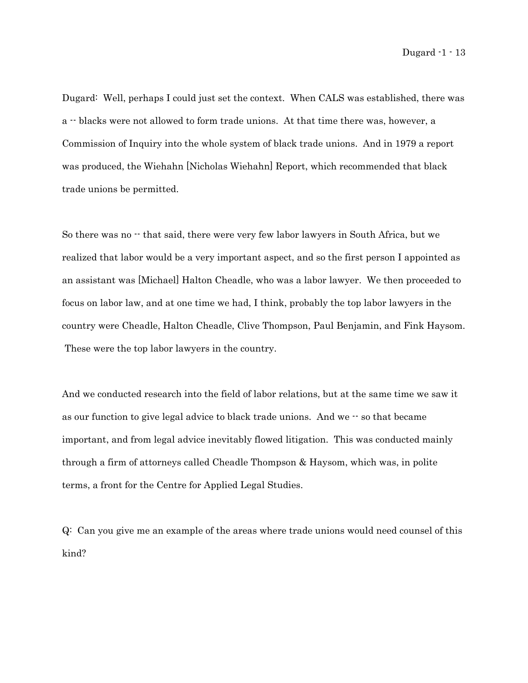Dugard: Well, perhaps I could just set the context. When CALS was established, there was a -- blacks were not allowed to form trade unions. At that time there was, however, a Commission of Inquiry into the whole system of black trade unions. And in 1979 a report was produced, the Wiehahn [Nicholas Wiehahn] Report, which recommended that black trade unions be permitted.

So there was no  $\cdot$  that said, there were very few labor lawyers in South Africa, but we realized that labor would be a very important aspect, and so the first person I appointed as an assistant was [Michael] Halton Cheadle, who was a labor lawyer. We then proceeded to focus on labor law, and at one time we had, I think, probably the top labor lawyers in the country were Cheadle, Halton Cheadle, Clive Thompson, Paul Benjamin, and Fink Haysom. These were the top labor lawyers in the country.

And we conducted research into the field of labor relations, but at the same time we saw it as our function to give legal advice to black trade unions. And we  $-$  so that became important, and from legal advice inevitably flowed litigation. This was conducted mainly through a firm of attorneys called Cheadle Thompson & Haysom, which was, in polite terms, a front for the Centre for Applied Legal Studies.

Q: Can you give me an example of the areas where trade unions would need counsel of this kind?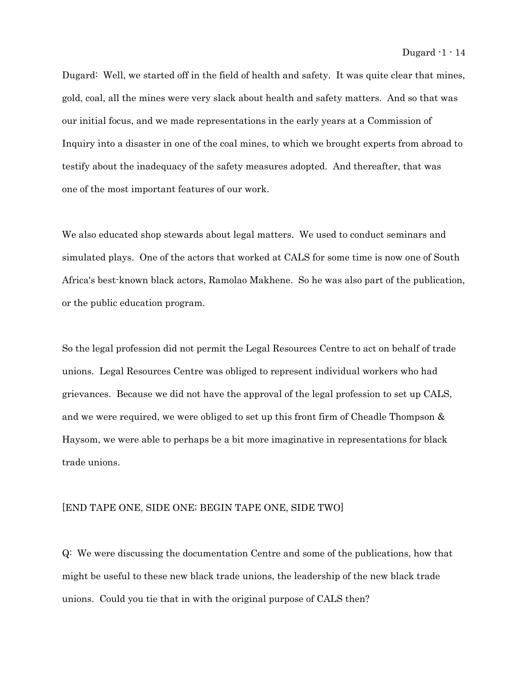Dugard: Well, we started off in the field of health and safety. It was quite clear that mines, gold, coal, all the mines were very slack about health and safety matters. And so that was our initial focus, and we made representations in the early years at a Commission of Inquiry into a disaster in one of the coal mines, to which we brought experts from abroad to testify about the inadequacy of the safety measures adopted. And thereafter, that was one of the most important features of our work.

We also educated shop stewards about legal matters. We used to conduct seminars and simulated plays. One of the actors that worked at CALS for some time is now one of South Africa's best-known black actors, Ramolao Makhene. So he was also part of the publication, or the public education program.

So the legal profession did not permit the Legal Resources Centre to act on behalf of trade unions. Legal Resources Centre was obliged to represent individual workers who had grievances. Because we did not have the approval of the legal profession to set up CALS, and we were required, we were obliged to set up this front firm of Cheadle Thompson & Haysom, we were able to perhaps be a bit more imaginative in representations for black trade unions.

## [END TAPE ONE, SIDE ONE; BEGIN TAPE ONE, SIDE TWO]

Q: We were discussing the documentation Centre and some of the publications, how that might be useful to these new black trade unions, the leadership of the new black trade unions. Could you tie that in with the original purpose of CALS then?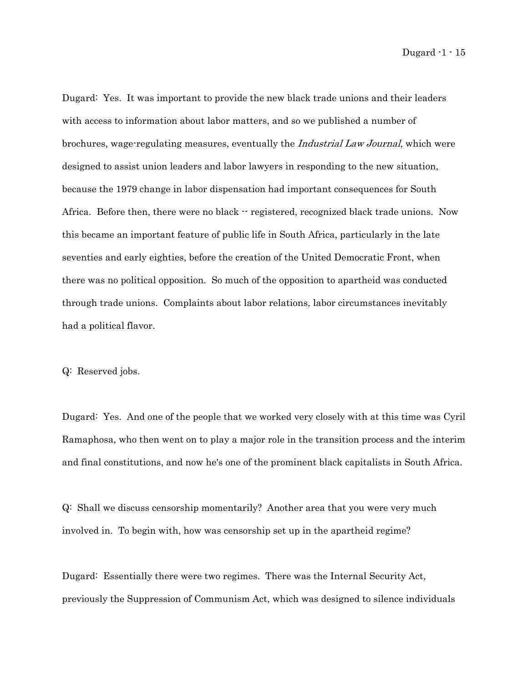Dugard: Yes. It was important to provide the new black trade unions and their leaders with access to information about labor matters, and so we published a number of brochures, wage-regulating measures, eventually the Industrial Law Journal, which were designed to assist union leaders and labor lawyers in responding to the new situation, because the 1979 change in labor dispensation had important consequences for South Africa. Before then, there were no black  $\cdot \cdot$  registered, recognized black trade unions. Now this became an important feature of public life in South Africa, particularly in the late seventies and early eighties, before the creation of the United Democratic Front, when there was no political opposition. So much of the opposition to apartheid was conducted through trade unions. Complaints about labor relations, labor circumstances inevitably had a political flavor.

## Q: Reserved jobs.

Dugard: Yes. And one of the people that we worked very closely with at this time was Cyril Ramaphosa, who then went on to play a major role in the transition process and the interim and final constitutions, and now he's one of the prominent black capitalists in South Africa.

Q: Shall we discuss censorship momentarily? Another area that you were very much involved in. To begin with, how was censorship set up in the apartheid regime?

Dugard: Essentially there were two regimes. There was the Internal Security Act, previously the Suppression of Communism Act, which was designed to silence individuals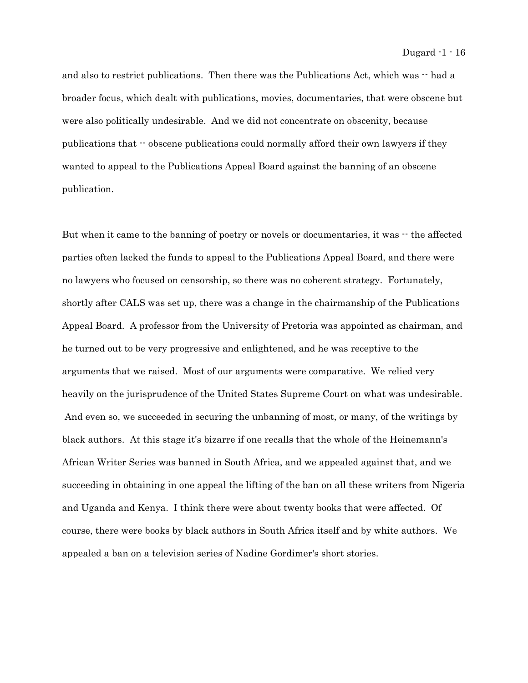and also to restrict publications. Then there was the Publications Act, which was  $\cdot$  had a broader focus, which dealt with publications, movies, documentaries, that were obscene but were also politically undesirable. And we did not concentrate on obscenity, because publications that -- obscene publications could normally afford their own lawyers if they wanted to appeal to the Publications Appeal Board against the banning of an obscene publication.

But when it came to the banning of poetry or novels or documentaries, it was  $\cdot$  the affected parties often lacked the funds to appeal to the Publications Appeal Board, and there were no lawyers who focused on censorship, so there was no coherent strategy. Fortunately, shortly after CALS was set up, there was a change in the chairmanship of the Publications Appeal Board. A professor from the University of Pretoria was appointed as chairman, and he turned out to be very progressive and enlightened, and he was receptive to the arguments that we raised. Most of our arguments were comparative. We relied very heavily on the jurisprudence of the United States Supreme Court on what was undesirable. And even so, we succeeded in securing the unbanning of most, or many, of the writings by black authors. At this stage it's bizarre if one recalls that the whole of the Heinemann's African Writer Series was banned in South Africa, and we appealed against that, and we succeeding in obtaining in one appeal the lifting of the ban on all these writers from Nigeria and Uganda and Kenya. I think there were about twenty books that were affected. Of course, there were books by black authors in South Africa itself and by white authors. We appealed a ban on a television series of Nadine Gordimer's short stories.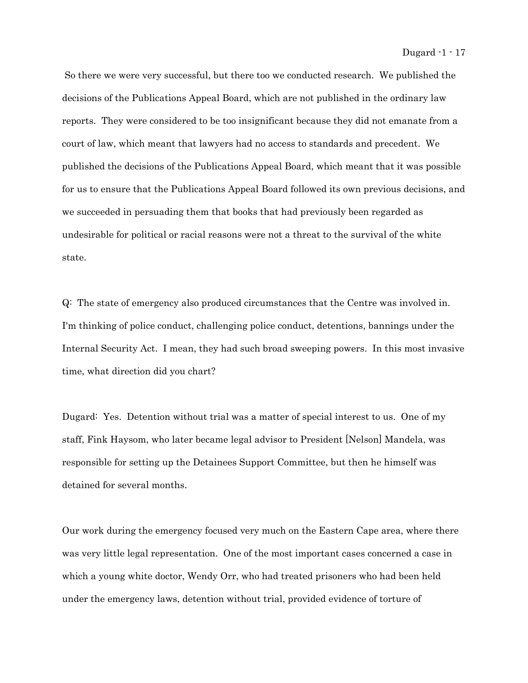So there we were very successful, but there too we conducted research. We published the decisions of the Publications Appeal Board, which are not published in the ordinary law reports. They were considered to be too insignificant because they did not emanate from a court of law, which meant that lawyers had no access to standards and precedent. We published the decisions of the Publications Appeal Board, which meant that it was possible for us to ensure that the Publications Appeal Board followed its own previous decisions, and we succeeded in persuading them that books that had previously been regarded as undesirable for political or racial reasons were not a threat to the survival of the white state.

Q: The state of emergency also produced circumstances that the Centre was involved in. I'm thinking of police conduct, challenging police conduct, detentions, bannings under the Internal Security Act. I mean, they had such broad sweeping powers. In this most invasive time, what direction did you chart?

Dugard: Yes. Detention without trial was a matter of special interest to us. One of my staff, Fink Haysom, who later became legal advisor to President [Nelson] Mandela, was responsible for setting up the Detainees Support Committee, but then he himself was detained for several months.

Our work during the emergency focused very much on the Eastern Cape area, where there was very little legal representation. One of the most important cases concerned a case in which a young white doctor, Wendy Orr, who had treated prisoners who had been held under the emergency laws, detention without trial, provided evidence of torture of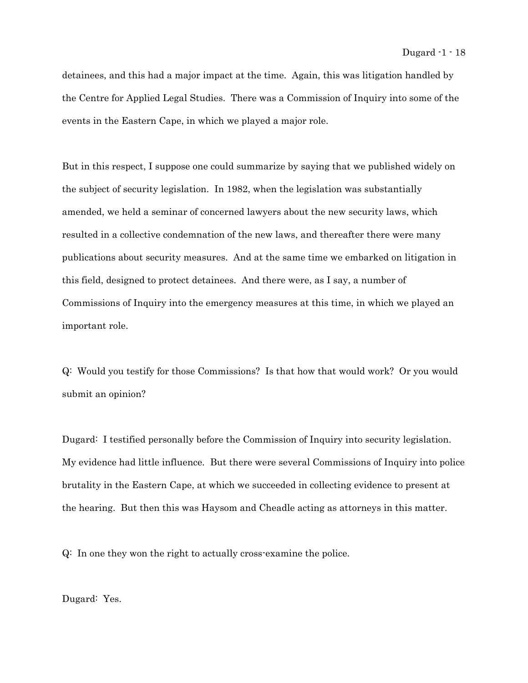detainees, and this had a major impact at the time. Again, this was litigation handled by the Centre for Applied Legal Studies. There was a Commission of Inquiry into some of the events in the Eastern Cape, in which we played a major role.

But in this respect, I suppose one could summarize by saying that we published widely on the subject of security legislation. In 1982, when the legislation was substantially amended, we held a seminar of concerned lawyers about the new security laws, which resulted in a collective condemnation of the new laws, and thereafter there were many publications about security measures. And at the same time we embarked on litigation in this field, designed to protect detainees. And there were, as I say, a number of Commissions of Inquiry into the emergency measures at this time, in which we played an important role.

Q: Would you testify for those Commissions? Is that how that would work? Or you would submit an opinion?

Dugard: I testified personally before the Commission of Inquiry into security legislation. My evidence had little influence. But there were several Commissions of Inquiry into police brutality in the Eastern Cape, at which we succeeded in collecting evidence to present at the hearing. But then this was Haysom and Cheadle acting as attorneys in this matter.

Q: In one they won the right to actually cross-examine the police.

Dugard: Yes.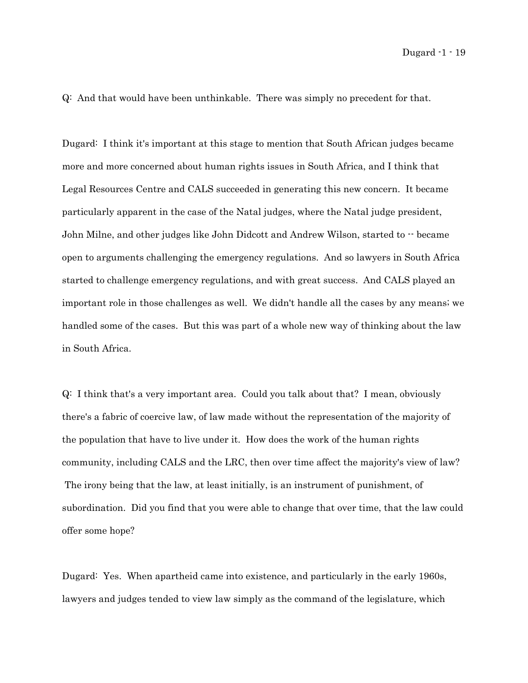Q: And that would have been unthinkable. There was simply no precedent for that.

Dugard: I think it's important at this stage to mention that South African judges became more and more concerned about human rights issues in South Africa, and I think that Legal Resources Centre and CALS succeeded in generating this new concern. It became particularly apparent in the case of the Natal judges, where the Natal judge president, John Milne, and other judges like John Didcott and Andrew Wilson, started to -- became open to arguments challenging the emergency regulations. And so lawyers in South Africa started to challenge emergency regulations, and with great success. And CALS played an important role in those challenges as well. We didn't handle all the cases by any means; we handled some of the cases. But this was part of a whole new way of thinking about the law in South Africa.

Q: I think that's a very important area. Could you talk about that? I mean, obviously there's a fabric of coercive law, of law made without the representation of the majority of the population that have to live under it. How does the work of the human rights community, including CALS and the LRC, then over time affect the majority's view of law? The irony being that the law, at least initially, is an instrument of punishment, of subordination. Did you find that you were able to change that over time, that the law could offer some hope?

Dugard: Yes. When apartheid came into existence, and particularly in the early 1960s, lawyers and judges tended to view law simply as the command of the legislature, which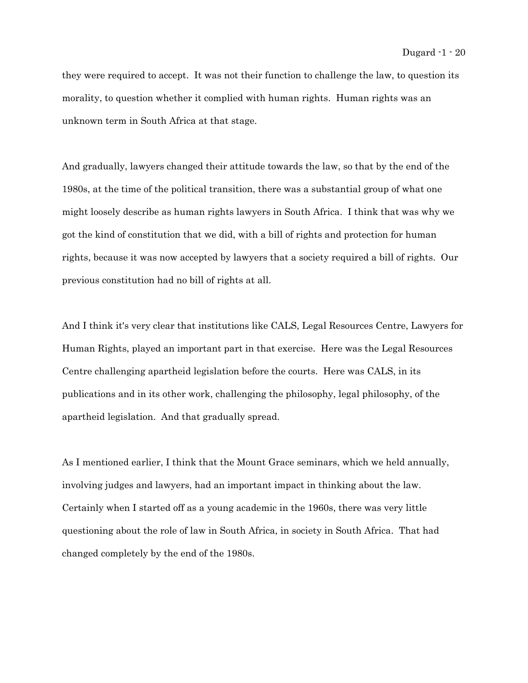they were required to accept. It was not their function to challenge the law, to question its morality, to question whether it complied with human rights. Human rights was an unknown term in South Africa at that stage.

And gradually, lawyers changed their attitude towards the law, so that by the end of the 1980s, at the time of the political transition, there was a substantial group of what one might loosely describe as human rights lawyers in South Africa. I think that was why we got the kind of constitution that we did, with a bill of rights and protection for human rights, because it was now accepted by lawyers that a society required a bill of rights. Our previous constitution had no bill of rights at all.

And I think it's very clear that institutions like CALS, Legal Resources Centre, Lawyers for Human Rights, played an important part in that exercise. Here was the Legal Resources Centre challenging apartheid legislation before the courts. Here was CALS, in its publications and in its other work, challenging the philosophy, legal philosophy, of the apartheid legislation. And that gradually spread.

As I mentioned earlier, I think that the Mount Grace seminars, which we held annually, involving judges and lawyers, had an important impact in thinking about the law. Certainly when I started off as a young academic in the 1960s, there was very little questioning about the role of law in South Africa, in society in South Africa. That had changed completely by the end of the 1980s.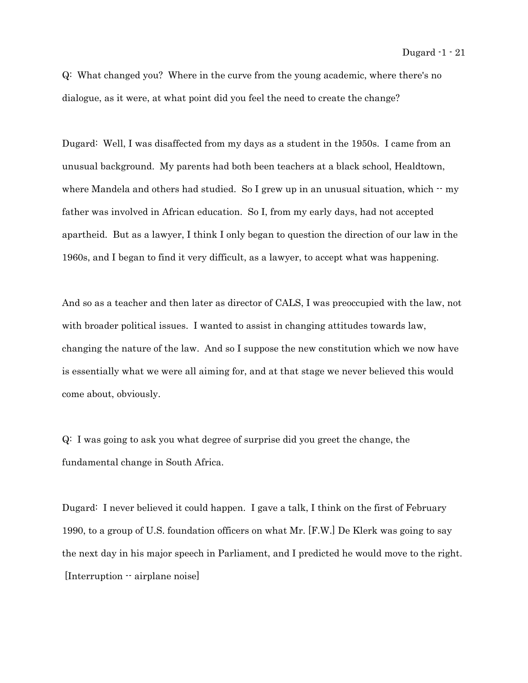Q: What changed you? Where in the curve from the young academic, where there's no dialogue, as it were, at what point did you feel the need to create the change?

Dugard: Well, I was disaffected from my days as a student in the 1950s. I came from an unusual background. My parents had both been teachers at a black school, Healdtown, where Mandela and others had studied. So I grew up in an unusual situation, which  $-$  my father was involved in African education. So I, from my early days, had not accepted apartheid. But as a lawyer, I think I only began to question the direction of our law in the 1960s, and I began to find it very difficult, as a lawyer, to accept what was happening.

And so as a teacher and then later as director of CALS, I was preoccupied with the law, not with broader political issues. I wanted to assist in changing attitudes towards law, changing the nature of the law. And so I suppose the new constitution which we now have is essentially what we were all aiming for, and at that stage we never believed this would come about, obviously.

Q: I was going to ask you what degree of surprise did you greet the change, the fundamental change in South Africa.

Dugard: I never believed it could happen. I gave a talk, I think on the first of February 1990, to a group of U.S. foundation officers on what Mr. [F.W.] De Klerk was going to say the next day in his major speech in Parliament, and I predicted he would move to the right. [Interruption -- airplane noise]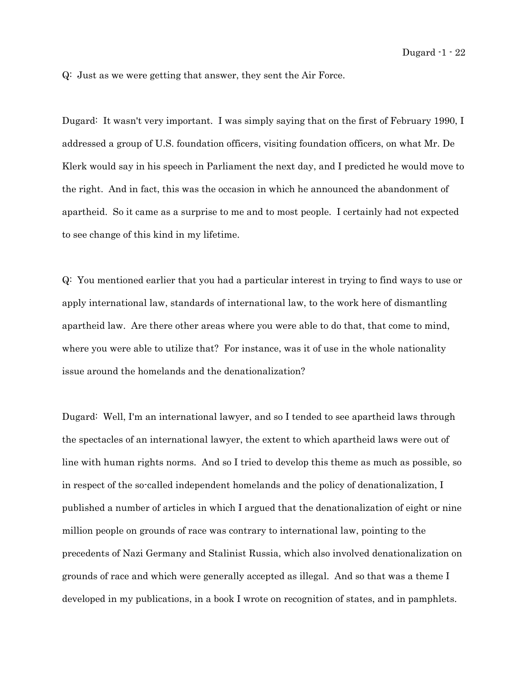Q: Just as we were getting that answer, they sent the Air Force.

Dugard: It wasn't very important. I was simply saying that on the first of February 1990, I addressed a group of U.S. foundation officers, visiting foundation officers, on what Mr. De Klerk would say in his speech in Parliament the next day, and I predicted he would move to the right. And in fact, this was the occasion in which he announced the abandonment of apartheid. So it came as a surprise to me and to most people. I certainly had not expected to see change of this kind in my lifetime.

Q: You mentioned earlier that you had a particular interest in trying to find ways to use or apply international law, standards of international law, to the work here of dismantling apartheid law. Are there other areas where you were able to do that, that come to mind, where you were able to utilize that? For instance, was it of use in the whole nationality issue around the homelands and the denationalization?

Dugard: Well, I'm an international lawyer, and so I tended to see apartheid laws through the spectacles of an international lawyer, the extent to which apartheid laws were out of line with human rights norms. And so I tried to develop this theme as much as possible, so in respect of the so-called independent homelands and the policy of denationalization, I published a number of articles in which I argued that the denationalization of eight or nine million people on grounds of race was contrary to international law, pointing to the precedents of Nazi Germany and Stalinist Russia, which also involved denationalization on grounds of race and which were generally accepted as illegal. And so that was a theme I developed in my publications, in a book I wrote on recognition of states, and in pamphlets.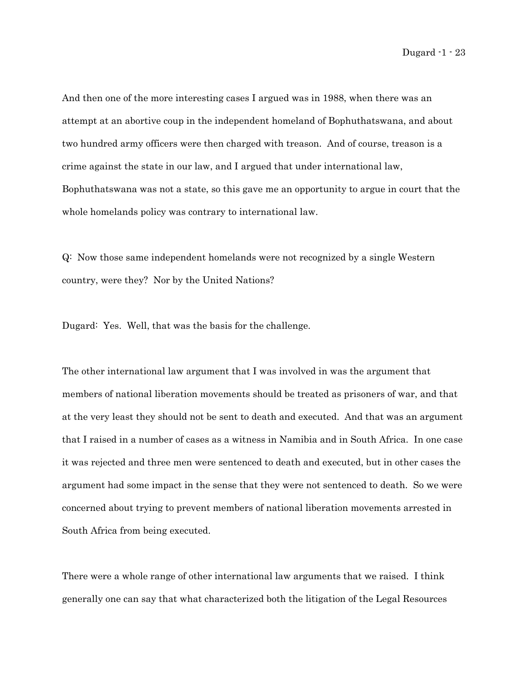And then one of the more interesting cases I argued was in 1988, when there was an attempt at an abortive coup in the independent homeland of Bophuthatswana, and about two hundred army officers were then charged with treason. And of course, treason is a crime against the state in our law, and I argued that under international law, Bophuthatswana was not a state, so this gave me an opportunity to argue in court that the whole homelands policy was contrary to international law.

Q: Now those same independent homelands were not recognized by a single Western country, were they? Nor by the United Nations?

Dugard: Yes. Well, that was the basis for the challenge.

The other international law argument that I was involved in was the argument that members of national liberation movements should be treated as prisoners of war, and that at the very least they should not be sent to death and executed. And that was an argument that I raised in a number of cases as a witness in Namibia and in South Africa. In one case it was rejected and three men were sentenced to death and executed, but in other cases the argument had some impact in the sense that they were not sentenced to death. So we were concerned about trying to prevent members of national liberation movements arrested in South Africa from being executed.

There were a whole range of other international law arguments that we raised. I think generally one can say that what characterized both the litigation of the Legal Resources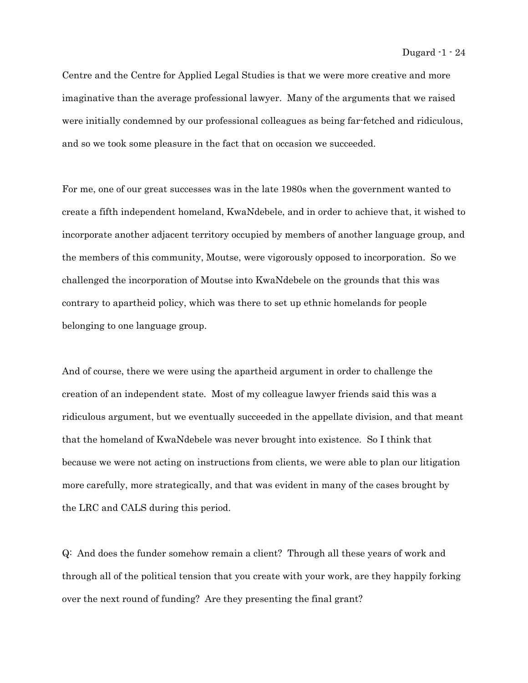Centre and the Centre for Applied Legal Studies is that we were more creative and more imaginative than the average professional lawyer. Many of the arguments that we raised were initially condemned by our professional colleagues as being far-fetched and ridiculous, and so we took some pleasure in the fact that on occasion we succeeded.

For me, one of our great successes was in the late 1980s when the government wanted to create a fifth independent homeland, KwaNdebele, and in order to achieve that, it wished to incorporate another adjacent territory occupied by members of another language group, and the members of this community, Moutse, were vigorously opposed to incorporation. So we challenged the incorporation of Moutse into KwaNdebele on the grounds that this was contrary to apartheid policy, which was there to set up ethnic homelands for people belonging to one language group.

And of course, there we were using the apartheid argument in order to challenge the creation of an independent state. Most of my colleague lawyer friends said this was a ridiculous argument, but we eventually succeeded in the appellate division, and that meant that the homeland of KwaNdebele was never brought into existence. So I think that because we were not acting on instructions from clients, we were able to plan our litigation more carefully, more strategically, and that was evident in many of the cases brought by the LRC and CALS during this period.

Q: And does the funder somehow remain a client? Through all these years of work and through all of the political tension that you create with your work, are they happily forking over the next round of funding? Are they presenting the final grant?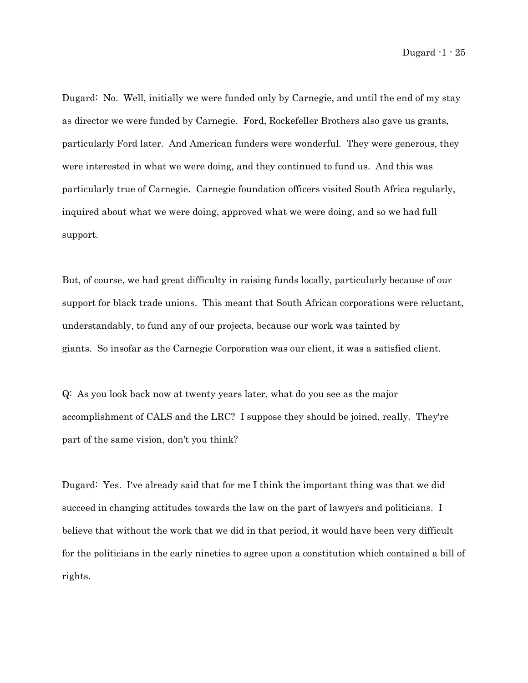Dugard: No. Well, initially we were funded only by Carnegie, and until the end of my stay as director we were funded by Carnegie. Ford, Rockefeller Brothers also gave us grants, particularly Ford later. And American funders were wonderful. They were generous, they were interested in what we were doing, and they continued to fund us. And this was particularly true of Carnegie. Carnegie foundation officers visited South Africa regularly, inquired about what we were doing, approved what we were doing, and so we had full support.

But, of course, we had great difficulty in raising funds locally, particularly because of our support for black trade unions. This meant that South African corporations were reluctant, understandably, to fund any of our projects, because our work was tainted by giants. So insofar as the Carnegie Corporation was our client, it was a satisfied client.

Q: As you look back now at twenty years later, what do you see as the major accomplishment of CALS and the LRC? I suppose they should be joined, really. They're part of the same vision, don't you think?

Dugard: Yes. I've already said that for me I think the important thing was that we did succeed in changing attitudes towards the law on the part of lawyers and politicians. I believe that without the work that we did in that period, it would have been very difficult for the politicians in the early nineties to agree upon a constitution which contained a bill of rights.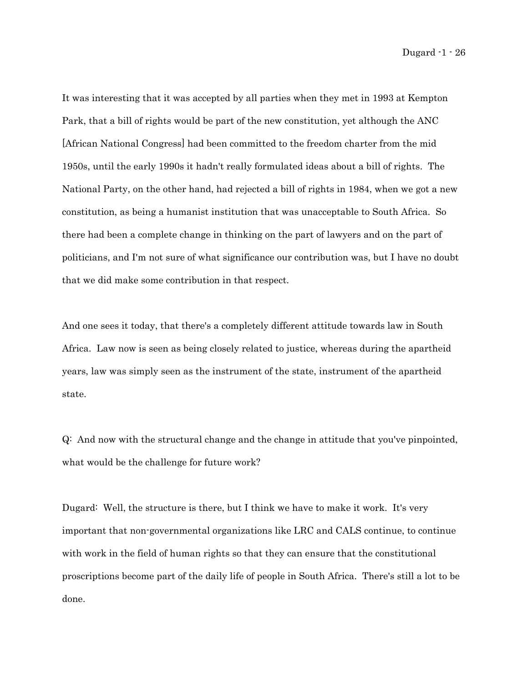It was interesting that it was accepted by all parties when they met in 1993 at Kempton Park, that a bill of rights would be part of the new constitution, yet although the ANC [African National Congress] had been committed to the freedom charter from the mid 1950s, until the early 1990s it hadn't really formulated ideas about a bill of rights. The National Party, on the other hand, had rejected a bill of rights in 1984, when we got a new constitution, as being a humanist institution that was unacceptable to South Africa. So there had been a complete change in thinking on the part of lawyers and on the part of politicians, and I'm not sure of what significance our contribution was, but I have no doubt that we did make some contribution in that respect.

And one sees it today, that there's a completely different attitude towards law in South Africa. Law now is seen as being closely related to justice, whereas during the apartheid years, law was simply seen as the instrument of the state, instrument of the apartheid state.

Q: And now with the structural change and the change in attitude that you've pinpointed, what would be the challenge for future work?

Dugard: Well, the structure is there, but I think we have to make it work. It's very important that non-governmental organizations like LRC and CALS continue, to continue with work in the field of human rights so that they can ensure that the constitutional proscriptions become part of the daily life of people in South Africa. There's still a lot to be done.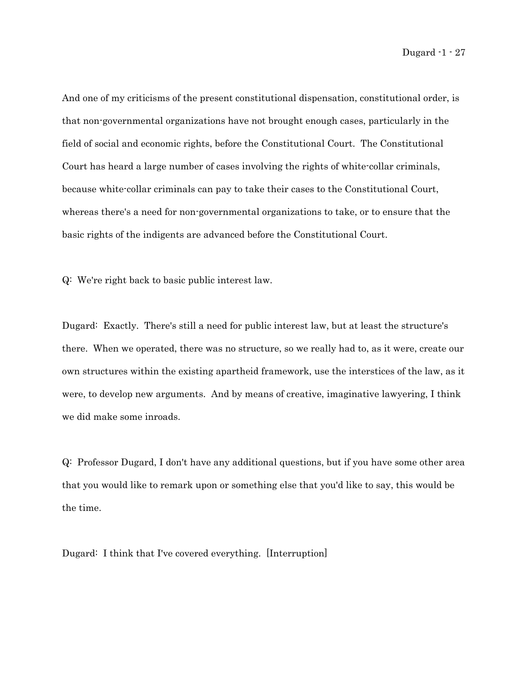And one of my criticisms of the present constitutional dispensation, constitutional order, is that non-governmental organizations have not brought enough cases, particularly in the field of social and economic rights, before the Constitutional Court. The Constitutional Court has heard a large number of cases involving the rights of white-collar criminals, because white-collar criminals can pay to take their cases to the Constitutional Court, whereas there's a need for non-governmental organizations to take, or to ensure that the basic rights of the indigents are advanced before the Constitutional Court.

Q: We're right back to basic public interest law.

Dugard: Exactly. There's still a need for public interest law, but at least the structure's there. When we operated, there was no structure, so we really had to, as it were, create our own structures within the existing apartheid framework, use the interstices of the law, as it were, to develop new arguments. And by means of creative, imaginative lawyering, I think we did make some inroads.

Q: Professor Dugard, I don't have any additional questions, but if you have some other area that you would like to remark upon or something else that you'd like to say, this would be the time.

Dugard: I think that I've covered everything. [Interruption]